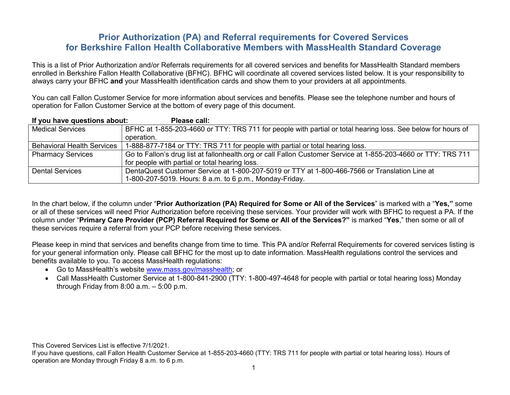# **Prior Authorization (PA) and Referral requirements for Covered Services for Berkshire Fallon Health Collaborative Members with MassHealth Standard Coverage**

This is a list of Prior Authorization and/or Referrals requirements for all covered services and benefits for MassHealth Standard members enrolled in Berkshire Fallon Health Collaborative (BFHC). BFHC will coordinate all covered services listed below. It is your responsibility to always carry your BFHC **and** your MassHealth identification cards and show them to your providers at all appointments.

You can call Fallon Customer Service for more information about services and benefits. Please see the telephone number and hours of operation for Fallon Customer Service at the bottom of every page of this document.

| If you have questions about:      | Please call:                                                                                                   |
|-----------------------------------|----------------------------------------------------------------------------------------------------------------|
| <b>Medical Services</b>           | BFHC at 1-855-203-4660 or TTY: TRS 711 for people with partial or total hearing loss. See below for hours of   |
|                                   | operation.                                                                                                     |
| <b>Behavioral Health Services</b> | 1-888-877-7184 or TTY: TRS 711 for people with partial or total hearing loss.                                  |
| <b>Pharmacy Services</b>          | Go to Fallon's drug list at fallonhealth.org or call Fallon Customer Service at 1-855-203-4660 or TTY: TRS 711 |
|                                   | for people with partial or total hearing loss.                                                                 |
| <b>Dental Services</b>            | DentaQuest Customer Service at 1-800-207-5019 or TTY at 1-800-466-7566 or Translation Line at                  |
|                                   | 1-800-207-5019. Hours: 8 a.m. to 6 p.m., Monday-Friday.                                                        |

In the chart below, if the column under "**Prior Authorization (PA) Required for Some or All of the Services**" is marked with a "**Yes,"** some or all of these services will need Prior Authorization before receiving these services. Your provider will work with BFHC to request a PA. If the column under "**Primary Care Provider (PCP) Referral Required for Some or All of the Services?"** is marked "**Yes**," then some or all of these services require a referral from your PCP before receiving these services.

Please keep in mind that services and benefits change from time to time. This PA and/or Referral Requirements for covered services listing is for your general information only. Please call BFHC for the most up to date information. MassHealth regulations control the services and benefits available to you. To access MassHealth regulations:

• Go to MassHealth's website [www.mass.gov/masshealth;](http://www.mass.gov/masshealth) or

• Call MassHealth Customer Service at 1-800-841-2900 (TTY: 1-800-497-4648 for people with partial or total hearing loss) Monday through Friday from 8:00 a.m. – 5:00 p.m.

This Covered Services List is effective 7/1/2021.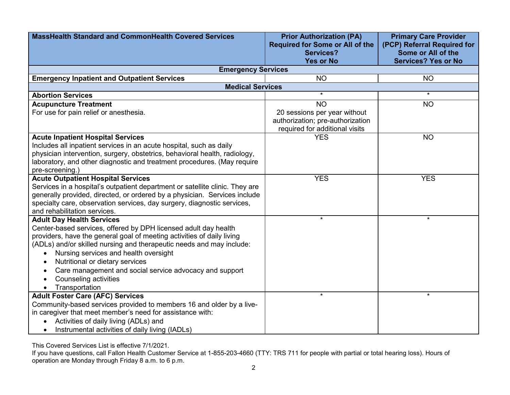| <b>MassHealth Standard and CommonHealth Covered Services</b>                                                                                      | <b>Prior Authorization (PA)</b><br><b>Required for Some or All of the</b>                          | <b>Primary Care Provider</b><br>(PCP) Referral Required for |
|---------------------------------------------------------------------------------------------------------------------------------------------------|----------------------------------------------------------------------------------------------------|-------------------------------------------------------------|
|                                                                                                                                                   | <b>Services?</b><br><b>Yes or No</b>                                                               | Some or All of the<br><b>Services? Yes or No</b>            |
| <b>Emergency Services</b>                                                                                                                         |                                                                                                    |                                                             |
| <b>Emergency Inpatient and Outpatient Services</b>                                                                                                | <b>NO</b>                                                                                          | <b>NO</b>                                                   |
| <b>Medical Services</b>                                                                                                                           |                                                                                                    |                                                             |
| <b>Abortion Services</b>                                                                                                                          | $\star$                                                                                            | $\star$                                                     |
| <b>Acupuncture Treatment</b>                                                                                                                      | <b>NO</b>                                                                                          | <b>NO</b>                                                   |
| For use for pain relief or anesthesia.                                                                                                            | 20 sessions per year without<br>authorization; pre-authorization<br>required for additional visits |                                                             |
| <b>Acute Inpatient Hospital Services</b>                                                                                                          | <b>YES</b>                                                                                         | <b>NO</b>                                                   |
| Includes all inpatient services in an acute hospital, such as daily<br>physician intervention, surgery, obstetrics, behavioral health, radiology, |                                                                                                    |                                                             |
| laboratory, and other diagnostic and treatment procedures. (May require                                                                           |                                                                                                    |                                                             |
| pre-screening.)                                                                                                                                   |                                                                                                    |                                                             |
| <b>Acute Outpatient Hospital Services</b>                                                                                                         | <b>YES</b>                                                                                         | <b>YES</b>                                                  |
| Services in a hospital's outpatient department or satellite clinic. They are                                                                      |                                                                                                    |                                                             |
| generally provided, directed, or ordered by a physician. Services include                                                                         |                                                                                                    |                                                             |
| specialty care, observation services, day surgery, diagnostic services,                                                                           |                                                                                                    |                                                             |
| and rehabilitation services.                                                                                                                      |                                                                                                    |                                                             |
| <b>Adult Day Health Services</b>                                                                                                                  | $\star$                                                                                            | $\star$                                                     |
| Center-based services, offered by DPH licensed adult day health                                                                                   |                                                                                                    |                                                             |
| providers, have the general goal of meeting activities of daily living<br>(ADLs) and/or skilled nursing and therapeutic needs and may include:    |                                                                                                    |                                                             |
| Nursing services and health oversight                                                                                                             |                                                                                                    |                                                             |
| Nutritional or dietary services<br>$\bullet$                                                                                                      |                                                                                                    |                                                             |
| Care management and social service advocacy and support<br>$\bullet$                                                                              |                                                                                                    |                                                             |
| Counseling activities                                                                                                                             |                                                                                                    |                                                             |
| Transportation<br>$\bullet$                                                                                                                       |                                                                                                    |                                                             |
| <b>Adult Foster Care (AFC) Services</b>                                                                                                           | $\star$                                                                                            | $\star$                                                     |
| Community-based services provided to members 16 and older by a live-                                                                              |                                                                                                    |                                                             |
| in caregiver that meet member's need for assistance with:                                                                                         |                                                                                                    |                                                             |
| Activities of daily living (ADLs) and                                                                                                             |                                                                                                    |                                                             |
| Instrumental activities of daily living (IADLs)                                                                                                   |                                                                                                    |                                                             |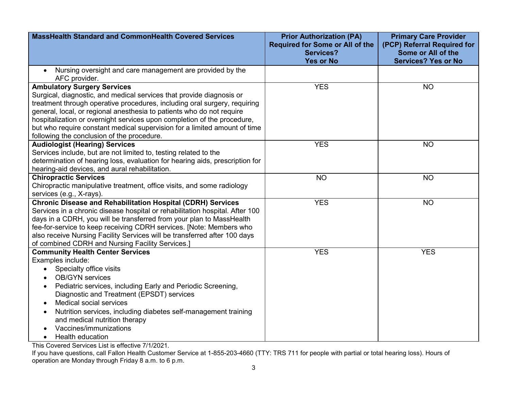| <b>MassHealth Standard and CommonHealth Covered Services</b>                                       | <b>Prior Authorization (PA)</b>        | <b>Primary Care Provider</b>                     |
|----------------------------------------------------------------------------------------------------|----------------------------------------|--------------------------------------------------|
|                                                                                                    | <b>Required for Some or All of the</b> | (PCP) Referral Required for                      |
|                                                                                                    | <b>Services?</b><br><b>Yes or No</b>   | Some or All of the<br><b>Services? Yes or No</b> |
| Nursing oversight and care management are provided by the<br>$\bullet$                             |                                        |                                                  |
| AFC provider.                                                                                      |                                        |                                                  |
| <b>Ambulatory Surgery Services</b>                                                                 | <b>YES</b>                             | <b>NO</b>                                        |
| Surgical, diagnostic, and medical services that provide diagnosis or                               |                                        |                                                  |
| treatment through operative procedures, including oral surgery, requiring                          |                                        |                                                  |
| general, local, or regional anesthesia to patients who do not require                              |                                        |                                                  |
| hospitalization or overnight services upon completion of the procedure,                            |                                        |                                                  |
| but who require constant medical supervision for a limited amount of time                          |                                        |                                                  |
| following the conclusion of the procedure.                                                         |                                        |                                                  |
| <b>Audiologist (Hearing) Services</b>                                                              | <b>YES</b>                             | <b>NO</b>                                        |
| Services include, but are not limited to, testing related to the                                   |                                        |                                                  |
| determination of hearing loss, evaluation for hearing aids, prescription for                       |                                        |                                                  |
| hearing-aid devices, and aural rehabilitation.                                                     |                                        |                                                  |
| <b>Chiropractic Services</b>                                                                       | <b>NO</b>                              | <b>NO</b>                                        |
| Chiropractic manipulative treatment, office visits, and some radiology<br>services (e.g., X-rays). |                                        |                                                  |
| <b>Chronic Disease and Rehabilitation Hospital (CDRH) Services</b>                                 | <b>YES</b>                             | <b>NO</b>                                        |
| Services in a chronic disease hospital or rehabilitation hospital. After 100                       |                                        |                                                  |
| days in a CDRH, you will be transferred from your plan to MassHealth                               |                                        |                                                  |
| fee-for-service to keep receiving CDRH services. [Note: Members who                                |                                        |                                                  |
| also receive Nursing Facility Services will be transferred after 100 days                          |                                        |                                                  |
| of combined CDRH and Nursing Facility Services.]                                                   |                                        |                                                  |
| <b>Community Health Center Services</b>                                                            | <b>YES</b>                             | <b>YES</b>                                       |
| Examples include:                                                                                  |                                        |                                                  |
| Specialty office visits<br>$\bullet$                                                               |                                        |                                                  |
| <b>OB/GYN</b> services                                                                             |                                        |                                                  |
| Pediatric services, including Early and Periodic Screening,                                        |                                        |                                                  |
| Diagnostic and Treatment (EPSDT) services                                                          |                                        |                                                  |
| <b>Medical social services</b>                                                                     |                                        |                                                  |
| Nutrition services, including diabetes self-management training                                    |                                        |                                                  |
| and medical nutrition therapy                                                                      |                                        |                                                  |
| Vaccines/immunizations                                                                             |                                        |                                                  |
| Health education                                                                                   |                                        |                                                  |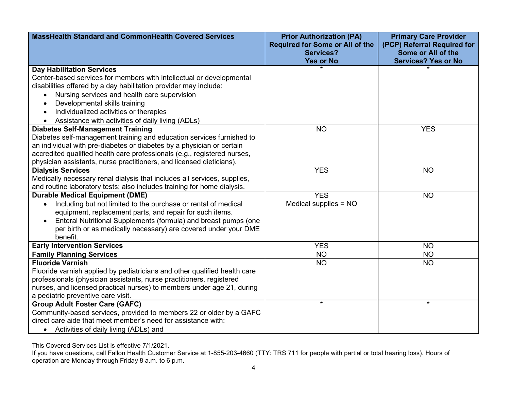| <b>MassHealth Standard and CommonHealth Covered Services</b>                                                                                   | <b>Prior Authorization (PA)</b><br><b>Required for Some or All of the</b><br><b>Services?</b> | <b>Primary Care Provider</b><br>(PCP) Referral Required for<br>Some or All of the |
|------------------------------------------------------------------------------------------------------------------------------------------------|-----------------------------------------------------------------------------------------------|-----------------------------------------------------------------------------------|
|                                                                                                                                                | <b>Yes or No</b>                                                                              | <b>Services? Yes or No</b>                                                        |
| <b>Day Habilitation Services</b>                                                                                                               |                                                                                               |                                                                                   |
| Center-based services for members with intellectual or developmental                                                                           |                                                                                               |                                                                                   |
| disabilities offered by a day habilitation provider may include:                                                                               |                                                                                               |                                                                                   |
| Nursing services and health care supervision                                                                                                   |                                                                                               |                                                                                   |
| Developmental skills training<br>$\bullet$                                                                                                     |                                                                                               |                                                                                   |
| Individualized activities or therapies                                                                                                         |                                                                                               |                                                                                   |
| Assistance with activities of daily living (ADLs)                                                                                              |                                                                                               |                                                                                   |
| <b>Diabetes Self-Management Training</b>                                                                                                       | <b>NO</b>                                                                                     | <b>YES</b>                                                                        |
| Diabetes self-management training and education services furnished to<br>an individual with pre-diabetes or diabetes by a physician or certain |                                                                                               |                                                                                   |
| accredited qualified health care professionals (e.g., registered nurses,                                                                       |                                                                                               |                                                                                   |
| physician assistants, nurse practitioners, and licensed dieticians).                                                                           |                                                                                               |                                                                                   |
| <b>Dialysis Services</b>                                                                                                                       | <b>YES</b>                                                                                    | <b>NO</b>                                                                         |
| Medically necessary renal dialysis that includes all services, supplies,                                                                       |                                                                                               |                                                                                   |
| and routine laboratory tests; also includes training for home dialysis.                                                                        |                                                                                               |                                                                                   |
| <b>Durable Medical Equipment (DME)</b>                                                                                                         | <b>YES</b>                                                                                    | <b>NO</b>                                                                         |
| Including but not limited to the purchase or rental of medical                                                                                 | Medical supplies = NO                                                                         |                                                                                   |
| equipment, replacement parts, and repair for such items.                                                                                       |                                                                                               |                                                                                   |
| Enteral Nutritional Supplements (formula) and breast pumps (one                                                                                |                                                                                               |                                                                                   |
| per birth or as medically necessary) are covered under your DME                                                                                |                                                                                               |                                                                                   |
| benefit.                                                                                                                                       |                                                                                               |                                                                                   |
| <b>Early Intervention Services</b>                                                                                                             | <b>YES</b>                                                                                    | <b>NO</b>                                                                         |
| <b>Family Planning Services</b>                                                                                                                | <b>NO</b>                                                                                     | <b>NO</b>                                                                         |
| <b>Fluoride Varnish</b>                                                                                                                        | <b>NO</b>                                                                                     | <b>NO</b>                                                                         |
| Fluoride varnish applied by pediatricians and other qualified health care                                                                      |                                                                                               |                                                                                   |
| professionals (physician assistants, nurse practitioners, registered<br>nurses, and licensed practical nurses) to members under age 21, during |                                                                                               |                                                                                   |
| a pediatric preventive care visit.                                                                                                             |                                                                                               |                                                                                   |
| <b>Group Adult Foster Care (GAFC)</b>                                                                                                          | $\star$                                                                                       | $\star$                                                                           |
| Community-based services, provided to members 22 or older by a GAFC                                                                            |                                                                                               |                                                                                   |
| direct care aide that meet member's need for assistance with:                                                                                  |                                                                                               |                                                                                   |
| Activities of daily living (ADLs) and                                                                                                          |                                                                                               |                                                                                   |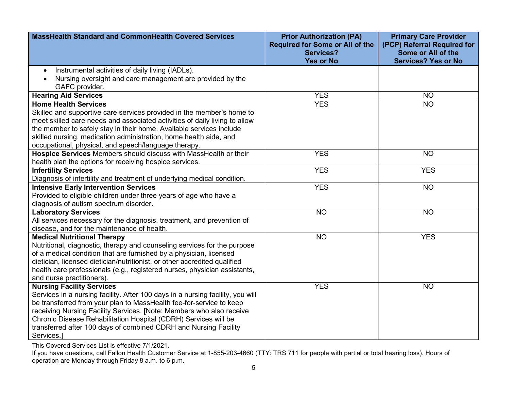| <b>MassHealth Standard and CommonHealth Covered Services</b>                                                                                                                                                                                                                                                                                                                                                           | <b>Prior Authorization (PA)</b><br><b>Required for Some or All of the</b><br><b>Services?</b><br><b>Yes or No</b> | <b>Primary Care Provider</b><br>(PCP) Referral Required for<br>Some or All of the<br><b>Services? Yes or No</b> |
|------------------------------------------------------------------------------------------------------------------------------------------------------------------------------------------------------------------------------------------------------------------------------------------------------------------------------------------------------------------------------------------------------------------------|-------------------------------------------------------------------------------------------------------------------|-----------------------------------------------------------------------------------------------------------------|
| Instrumental activities of daily living (IADLs).<br>$\bullet$<br>Nursing oversight and care management are provided by the<br>GAFC provider.                                                                                                                                                                                                                                                                           |                                                                                                                   |                                                                                                                 |
| <b>Hearing Aid Services</b>                                                                                                                                                                                                                                                                                                                                                                                            | <b>YES</b>                                                                                                        | <b>NO</b>                                                                                                       |
| <b>Home Health Services</b><br>Skilled and supportive care services provided in the member's home to<br>meet skilled care needs and associated activities of daily living to allow<br>the member to safely stay in their home. Available services include<br>skilled nursing, medication administration, home health aide, and<br>occupational, physical, and speech/language therapy.                                 | <b>YES</b>                                                                                                        | <b>NO</b>                                                                                                       |
| Hospice Services Members should discuss with MassHealth or their<br>health plan the options for receiving hospice services.                                                                                                                                                                                                                                                                                            | <b>YES</b>                                                                                                        | <b>NO</b>                                                                                                       |
| <b>Infertility Services</b><br>Diagnosis of infertility and treatment of underlying medical condition.                                                                                                                                                                                                                                                                                                                 | <b>YES</b>                                                                                                        | <b>YES</b>                                                                                                      |
| <b>Intensive Early Intervention Services</b><br>Provided to eligible children under three years of age who have a<br>diagnosis of autism spectrum disorder.                                                                                                                                                                                                                                                            | <b>YES</b>                                                                                                        | <b>NO</b>                                                                                                       |
| <b>Laboratory Services</b><br>All services necessary for the diagnosis, treatment, and prevention of<br>disease, and for the maintenance of health.                                                                                                                                                                                                                                                                    | <b>NO</b>                                                                                                         | <b>NO</b>                                                                                                       |
| <b>Medical Nutritional Therapy</b><br>Nutritional, diagnostic, therapy and counseling services for the purpose<br>of a medical condition that are furnished by a physician, licensed<br>dietician, licensed dietician/nutritionist, or other accredited qualified<br>health care professionals (e.g., registered nurses, physician assistants,<br>and nurse practitioners).                                            | <b>NO</b>                                                                                                         | <b>YES</b>                                                                                                      |
| <b>Nursing Facility Services</b><br>Services in a nursing facility. After 100 days in a nursing facility, you will<br>be transferred from your plan to MassHealth fee-for-service to keep<br>receiving Nursing Facility Services. [Note: Members who also receive<br>Chronic Disease Rehabilitation Hospital (CDRH) Services will be<br>transferred after 100 days of combined CDRH and Nursing Facility<br>Services.] | <b>YES</b>                                                                                                        | <b>NO</b>                                                                                                       |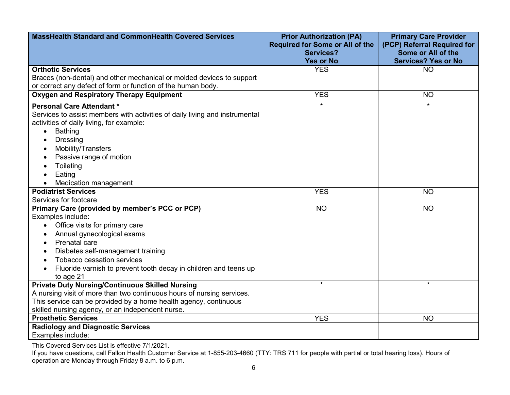| <b>MassHealth Standard and CommonHealth Covered Services</b>                                                                                                                                                                                                                                             | <b>Prior Authorization (PA)</b><br><b>Required for Some or All of the</b><br><b>Services?</b> | <b>Primary Care Provider</b><br>(PCP) Referral Required for<br>Some or All of the |
|----------------------------------------------------------------------------------------------------------------------------------------------------------------------------------------------------------------------------------------------------------------------------------------------------------|-----------------------------------------------------------------------------------------------|-----------------------------------------------------------------------------------|
|                                                                                                                                                                                                                                                                                                          | <b>Yes or No</b>                                                                              | <b>Services? Yes or No</b>                                                        |
| <b>Orthotic Services</b>                                                                                                                                                                                                                                                                                 | <b>YES</b>                                                                                    | <b>NO</b>                                                                         |
| Braces (non-dental) and other mechanical or molded devices to support                                                                                                                                                                                                                                    |                                                                                               |                                                                                   |
| or correct any defect of form or function of the human body.                                                                                                                                                                                                                                             |                                                                                               |                                                                                   |
| <b>Oxygen and Respiratory Therapy Equipment</b>                                                                                                                                                                                                                                                          | <b>YES</b>                                                                                    | <b>NO</b>                                                                         |
| <b>Personal Care Attendant *</b><br>Services to assist members with activities of daily living and instrumental<br>activities of daily living, for example:<br><b>Bathing</b><br>$\bullet$<br><b>Dressing</b><br>Mobility/Transfers<br>Passive range of motion<br>Toileting<br>Eating                    | $\star$                                                                                       | $\star$                                                                           |
| Medication management                                                                                                                                                                                                                                                                                    |                                                                                               |                                                                                   |
| <b>Podiatrist Services</b>                                                                                                                                                                                                                                                                               | <b>YES</b>                                                                                    | <b>NO</b>                                                                         |
| Services for footcare                                                                                                                                                                                                                                                                                    |                                                                                               |                                                                                   |
| Primary Care (provided by member's PCC or PCP)<br>Examples include:<br>Office visits for primary care<br>Annual gynecological exams<br>Prenatal care<br>Diabetes self-management training<br>Tobacco cessation services<br>Fluoride varnish to prevent tooth decay in children and teens up<br>to age 21 | <b>NO</b>                                                                                     | <b>NO</b>                                                                         |
| <b>Private Duty Nursing/Continuous Skilled Nursing</b>                                                                                                                                                                                                                                                   | $\star$                                                                                       | $\star$                                                                           |
| A nursing visit of more than two continuous hours of nursing services.<br>This service can be provided by a home health agency, continuous                                                                                                                                                               |                                                                                               |                                                                                   |
| skilled nursing agency, or an independent nurse.<br><b>Prosthetic Services</b>                                                                                                                                                                                                                           | <b>YES</b>                                                                                    | <b>NO</b>                                                                         |
| <b>Radiology and Diagnostic Services</b>                                                                                                                                                                                                                                                                 |                                                                                               |                                                                                   |
|                                                                                                                                                                                                                                                                                                          |                                                                                               |                                                                                   |
| Examples include:                                                                                                                                                                                                                                                                                        |                                                                                               |                                                                                   |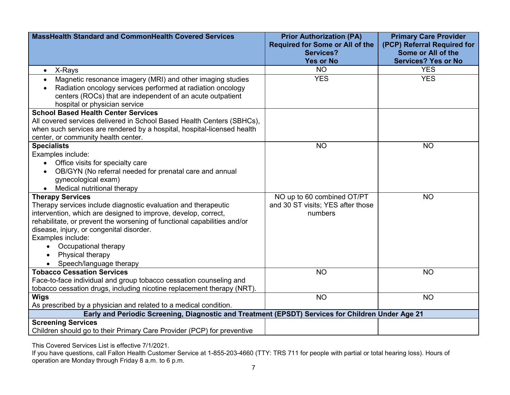| <b>MassHealth Standard and CommonHealth Covered Services</b>                                                                                                                                                                                                                                                                                                                    | <b>Prior Authorization (PA)</b><br><b>Required for Some or All of the</b><br><b>Services?</b><br><b>Yes or No</b> | <b>Primary Care Provider</b><br>(PCP) Referral Required for<br>Some or All of the<br><b>Services? Yes or No</b> |
|---------------------------------------------------------------------------------------------------------------------------------------------------------------------------------------------------------------------------------------------------------------------------------------------------------------------------------------------------------------------------------|-------------------------------------------------------------------------------------------------------------------|-----------------------------------------------------------------------------------------------------------------|
| • X-Rays                                                                                                                                                                                                                                                                                                                                                                        | <b>NO</b>                                                                                                         | <b>YES</b>                                                                                                      |
| Magnetic resonance imagery (MRI) and other imaging studies<br>Radiation oncology services performed at radiation oncology<br>centers (ROCs) that are independent of an acute outpatient<br>hospital or physician service                                                                                                                                                        | <b>YES</b>                                                                                                        | <b>YES</b>                                                                                                      |
| <b>School Based Health Center Services</b>                                                                                                                                                                                                                                                                                                                                      |                                                                                                                   |                                                                                                                 |
| All covered services delivered in School Based Health Centers (SBHCs),<br>when such services are rendered by a hospital, hospital-licensed health<br>center, or community health center.                                                                                                                                                                                        |                                                                                                                   |                                                                                                                 |
| <b>Specialists</b>                                                                                                                                                                                                                                                                                                                                                              | <b>NO</b>                                                                                                         | <b>NO</b>                                                                                                       |
| Examples include:<br>Office visits for specialty care<br>OB/GYN (No referral needed for prenatal care and annual<br>gynecological exam)<br>Medical nutritional therapy                                                                                                                                                                                                          |                                                                                                                   |                                                                                                                 |
| <b>Therapy Services</b><br>Therapy services include diagnostic evaluation and therapeutic<br>intervention, which are designed to improve, develop, correct,<br>rehabilitate, or prevent the worsening of functional capabilities and/or<br>disease, injury, or congenital disorder.<br>Examples include:<br>Occupational therapy<br>Physical therapy<br>Speech/language therapy | NO up to 60 combined OT/PT<br>and 30 ST visits; YES after those<br>numbers                                        | <b>NO</b>                                                                                                       |
| <b>Tobacco Cessation Services</b><br>Face-to-face individual and group tobacco cessation counseling and<br>tobacco cessation drugs, including nicotine replacement therapy (NRT).                                                                                                                                                                                               | <b>NO</b>                                                                                                         | <b>NO</b>                                                                                                       |
| <b>Wigs</b><br>As prescribed by a physician and related to a medical condition.                                                                                                                                                                                                                                                                                                 | <b>NO</b>                                                                                                         | <b>NO</b>                                                                                                       |
| Early and Periodic Screening, Diagnostic and Treatment (EPSDT) Services for Children Under Age 21                                                                                                                                                                                                                                                                               |                                                                                                                   |                                                                                                                 |
| <b>Screening Services</b><br>Children should go to their Primary Care Provider (PCP) for preventive                                                                                                                                                                                                                                                                             |                                                                                                                   |                                                                                                                 |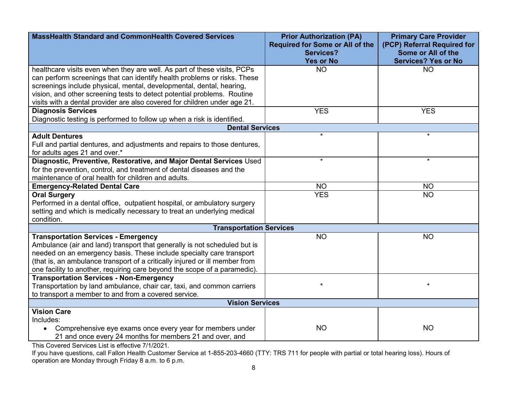| <b>MassHealth Standard and CommonHealth Covered Services</b>                                                                                                                                                                                                                                                                                                                         | <b>Prior Authorization (PA)</b><br><b>Required for Some or All of the</b><br><b>Services?</b> | <b>Primary Care Provider</b><br>(PCP) Referral Required for<br>Some or All of the |
|--------------------------------------------------------------------------------------------------------------------------------------------------------------------------------------------------------------------------------------------------------------------------------------------------------------------------------------------------------------------------------------|-----------------------------------------------------------------------------------------------|-----------------------------------------------------------------------------------|
|                                                                                                                                                                                                                                                                                                                                                                                      | <b>Yes or No</b>                                                                              | <b>Services? Yes or No</b>                                                        |
| healthcare visits even when they are well. As part of these visits, PCPs<br>can perform screenings that can identify health problems or risks. These<br>screenings include physical, mental, developmental, dental, hearing,<br>vision, and other screening tests to detect potential problems. Routine<br>visits with a dental provider are also covered for children under age 21. | <b>NO</b>                                                                                     | <b>NO</b>                                                                         |
| <b>Diagnosis Services</b>                                                                                                                                                                                                                                                                                                                                                            | <b>YES</b>                                                                                    | <b>YES</b>                                                                        |
| Diagnostic testing is performed to follow up when a risk is identified.                                                                                                                                                                                                                                                                                                              |                                                                                               |                                                                                   |
| <b>Dental Services</b>                                                                                                                                                                                                                                                                                                                                                               | $\star$                                                                                       | $\star$                                                                           |
| <b>Adult Dentures</b><br>Full and partial dentures, and adjustments and repairs to those dentures,<br>for adults ages 21 and over.*                                                                                                                                                                                                                                                  |                                                                                               |                                                                                   |
| Diagnostic, Preventive, Restorative, and Major Dental Services Used<br>for the prevention, control, and treatment of dental diseases and the<br>maintenance of oral health for children and adults.                                                                                                                                                                                  | $\star$                                                                                       | $\star$                                                                           |
| <b>Emergency-Related Dental Care</b>                                                                                                                                                                                                                                                                                                                                                 | <b>NO</b>                                                                                     | <b>NO</b>                                                                         |
| <b>Oral Surgery</b><br>Performed in a dental office, outpatient hospital, or ambulatory surgery<br>setting and which is medically necessary to treat an underlying medical<br>condition.                                                                                                                                                                                             | <b>YES</b>                                                                                    | <b>NO</b>                                                                         |
| <b>Transportation Services</b>                                                                                                                                                                                                                                                                                                                                                       |                                                                                               |                                                                                   |
| <b>Transportation Services - Emergency</b><br>Ambulance (air and land) transport that generally is not scheduled but is<br>needed on an emergency basis. These include specialty care transport<br>(that is, an ambulance transport of a critically injured or ill member from<br>one facility to another, requiring care beyond the scope of a paramedic).                          | <b>NO</b>                                                                                     | <b>NO</b>                                                                         |
| <b>Transportation Services - Non-Emergency</b><br>Transportation by land ambulance, chair car, taxi, and common carriers<br>to transport a member to and from a covered service.                                                                                                                                                                                                     | $\star$                                                                                       | $\star$                                                                           |
| <b>Vision Services</b>                                                                                                                                                                                                                                                                                                                                                               |                                                                                               |                                                                                   |
| <b>Vision Care</b><br>Includes:<br>Comprehensive eye exams once every year for members under<br>$\bullet$<br>21 and once every 24 months for members 21 and over, and                                                                                                                                                                                                                | <b>NO</b>                                                                                     | <b>NO</b>                                                                         |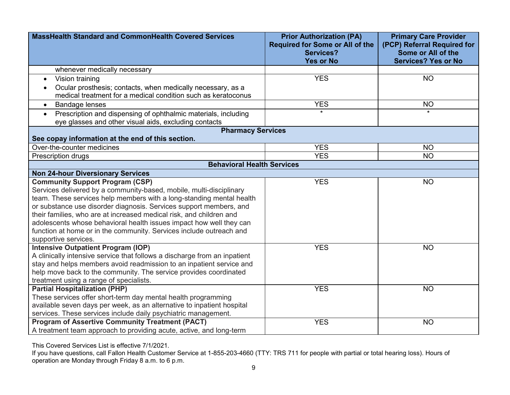| <b>MassHealth Standard and CommonHealth Covered Services</b>                                                                         | <b>Prior Authorization (PA)</b><br><b>Required for Some or All of the</b><br><b>Services?</b><br><b>Yes or No</b> | <b>Primary Care Provider</b><br>(PCP) Referral Required for<br>Some or All of the<br><b>Services? Yes or No</b> |
|--------------------------------------------------------------------------------------------------------------------------------------|-------------------------------------------------------------------------------------------------------------------|-----------------------------------------------------------------------------------------------------------------|
| whenever medically necessary                                                                                                         |                                                                                                                   |                                                                                                                 |
| Vision training<br>$\bullet$                                                                                                         | <b>YES</b>                                                                                                        | <b>NO</b>                                                                                                       |
| Ocular prosthesis; contacts, when medically necessary, as a<br>medical treatment for a medical condition such as keratoconus         |                                                                                                                   |                                                                                                                 |
| <b>Bandage lenses</b><br>$\bullet$                                                                                                   | <b>YES</b>                                                                                                        | <b>NO</b>                                                                                                       |
| Prescription and dispensing of ophthalmic materials, including<br>$\bullet$<br>eye glasses and other visual aids, excluding contacts | $\star$                                                                                                           | $\star$                                                                                                         |
| <b>Pharmacy Services</b>                                                                                                             |                                                                                                                   |                                                                                                                 |
| See copay information at the end of this section.                                                                                    |                                                                                                                   |                                                                                                                 |
| Over-the-counter medicines                                                                                                           | <b>YES</b>                                                                                                        | <b>NO</b>                                                                                                       |
| Prescription drugs                                                                                                                   | <b>YES</b>                                                                                                        | <b>NO</b>                                                                                                       |
| <b>Behavioral Health Services</b>                                                                                                    |                                                                                                                   |                                                                                                                 |
| <b>Non 24-hour Diversionary Services</b>                                                                                             |                                                                                                                   |                                                                                                                 |
| <b>Community Support Program (CSP)</b>                                                                                               | <b>YES</b>                                                                                                        | <b>NO</b>                                                                                                       |
| Services delivered by a community-based, mobile, multi-disciplinary                                                                  |                                                                                                                   |                                                                                                                 |
| team. These services help members with a long-standing mental health                                                                 |                                                                                                                   |                                                                                                                 |
| or substance use disorder diagnosis. Services support members, and                                                                   |                                                                                                                   |                                                                                                                 |
| their families, who are at increased medical risk, and children and                                                                  |                                                                                                                   |                                                                                                                 |
| adolescents whose behavioral health issues impact how well they can                                                                  |                                                                                                                   |                                                                                                                 |
| function at home or in the community. Services include outreach and                                                                  |                                                                                                                   |                                                                                                                 |
| supportive services.                                                                                                                 |                                                                                                                   |                                                                                                                 |
| <b>Intensive Outpatient Program (IOP)</b>                                                                                            | <b>YES</b>                                                                                                        | <b>NO</b>                                                                                                       |
| A clinically intensive service that follows a discharge from an inpatient                                                            |                                                                                                                   |                                                                                                                 |
| stay and helps members avoid readmission to an inpatient service and                                                                 |                                                                                                                   |                                                                                                                 |
| help move back to the community. The service provides coordinated                                                                    |                                                                                                                   |                                                                                                                 |
| treatment using a range of specialists.                                                                                              |                                                                                                                   |                                                                                                                 |
| <b>Partial Hospitalization (PHP)</b>                                                                                                 | <b>YES</b>                                                                                                        | <b>NO</b>                                                                                                       |
| These services offer short-term day mental health programming                                                                        |                                                                                                                   |                                                                                                                 |
| available seven days per week, as an alternative to inpatient hospital                                                               |                                                                                                                   |                                                                                                                 |
| services. These services include daily psychiatric management.                                                                       |                                                                                                                   |                                                                                                                 |
| <b>Program of Assertive Community Treatment (PACT)</b>                                                                               | <b>YES</b>                                                                                                        | <b>NO</b>                                                                                                       |
| A treatment team approach to providing acute, active, and long-term                                                                  |                                                                                                                   |                                                                                                                 |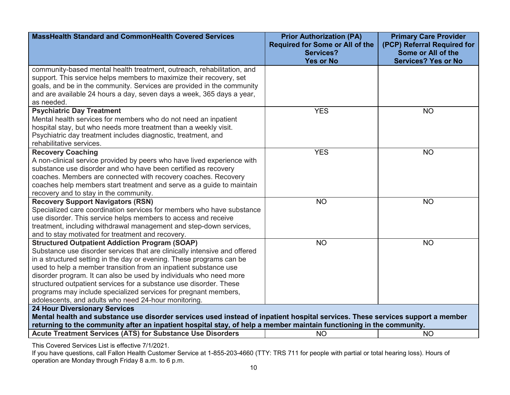| <b>MassHealth Standard and CommonHealth Covered Services</b>                                                                                                                                                                                           | <b>Prior Authorization (PA)</b><br><b>Required for Some or All of the</b><br><b>Services?</b> | <b>Primary Care Provider</b><br>(PCP) Referral Required for<br>Some or All of the |  |
|--------------------------------------------------------------------------------------------------------------------------------------------------------------------------------------------------------------------------------------------------------|-----------------------------------------------------------------------------------------------|-----------------------------------------------------------------------------------|--|
|                                                                                                                                                                                                                                                        | <b>Yes or No</b>                                                                              | <b>Services? Yes or No</b>                                                        |  |
| community-based mental health treatment, outreach, rehabilitation, and                                                                                                                                                                                 |                                                                                               |                                                                                   |  |
| support. This service helps members to maximize their recovery, set                                                                                                                                                                                    |                                                                                               |                                                                                   |  |
| goals, and be in the community. Services are provided in the community                                                                                                                                                                                 |                                                                                               |                                                                                   |  |
| and are available 24 hours a day, seven days a week, 365 days a year,                                                                                                                                                                                  |                                                                                               |                                                                                   |  |
| as needed.                                                                                                                                                                                                                                             |                                                                                               |                                                                                   |  |
| <b>Psychiatric Day Treatment</b>                                                                                                                                                                                                                       | <b>YES</b>                                                                                    | <b>NO</b>                                                                         |  |
| Mental health services for members who do not need an inpatient                                                                                                                                                                                        |                                                                                               |                                                                                   |  |
| hospital stay, but who needs more treatment than a weekly visit.                                                                                                                                                                                       |                                                                                               |                                                                                   |  |
| Psychiatric day treatment includes diagnostic, treatment, and                                                                                                                                                                                          |                                                                                               |                                                                                   |  |
| rehabilitative services.                                                                                                                                                                                                                               |                                                                                               |                                                                                   |  |
| <b>Recovery Coaching</b>                                                                                                                                                                                                                               | <b>YES</b>                                                                                    | <b>NO</b>                                                                         |  |
| A non-clinical service provided by peers who have lived experience with                                                                                                                                                                                |                                                                                               |                                                                                   |  |
| substance use disorder and who have been certified as recovery                                                                                                                                                                                         |                                                                                               |                                                                                   |  |
| coaches. Members are connected with recovery coaches. Recovery                                                                                                                                                                                         |                                                                                               |                                                                                   |  |
| coaches help members start treatment and serve as a guide to maintain                                                                                                                                                                                  |                                                                                               |                                                                                   |  |
| recovery and to stay in the community.                                                                                                                                                                                                                 |                                                                                               |                                                                                   |  |
| <b>Recovery Support Navigators (RSN)</b>                                                                                                                                                                                                               | <b>NO</b>                                                                                     | <b>NO</b>                                                                         |  |
| Specialized care coordination services for members who have substance                                                                                                                                                                                  |                                                                                               |                                                                                   |  |
| use disorder. This service helps members to access and receive                                                                                                                                                                                         |                                                                                               |                                                                                   |  |
| treatment, including withdrawal management and step-down services,                                                                                                                                                                                     |                                                                                               |                                                                                   |  |
| and to stay motivated for treatment and recovery.                                                                                                                                                                                                      |                                                                                               |                                                                                   |  |
| <b>Structured Outpatient Addiction Program (SOAP)</b>                                                                                                                                                                                                  | <b>NO</b>                                                                                     | <b>NO</b>                                                                         |  |
| Substance use disorder services that are clinically intensive and offered                                                                                                                                                                              |                                                                                               |                                                                                   |  |
| in a structured setting in the day or evening. These programs can be                                                                                                                                                                                   |                                                                                               |                                                                                   |  |
| used to help a member transition from an inpatient substance use                                                                                                                                                                                       |                                                                                               |                                                                                   |  |
| disorder program. It can also be used by individuals who need more                                                                                                                                                                                     |                                                                                               |                                                                                   |  |
| structured outpatient services for a substance use disorder. These<br>programs may include specialized services for pregnant members,                                                                                                                  |                                                                                               |                                                                                   |  |
| adolescents, and adults who need 24-hour monitoring.                                                                                                                                                                                                   |                                                                                               |                                                                                   |  |
| <b>24 Hour Diversionary Services</b>                                                                                                                                                                                                                   |                                                                                               |                                                                                   |  |
|                                                                                                                                                                                                                                                        |                                                                                               |                                                                                   |  |
| Mental health and substance use disorder services used instead of inpatient hospital services. These services support a member<br>returning to the community after an inpatient hospital stay, of help a member maintain functioning in the community. |                                                                                               |                                                                                   |  |
| Acute Treatment Services (ATS) for Substance Use Disorders                                                                                                                                                                                             | <b>NO</b>                                                                                     | <b>NO</b>                                                                         |  |
| This Coursed Composed ist is effective 7/4/0004                                                                                                                                                                                                        |                                                                                               |                                                                                   |  |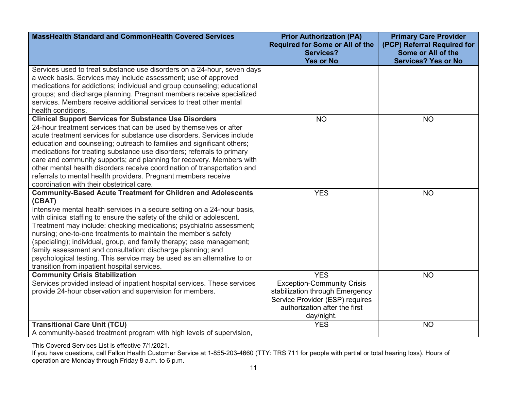| <b>MassHealth Standard and CommonHealth Covered Services</b>                                                                                                                                                                                                                                                                                                                                                                                                                                                                                                                                                                                      | <b>Prior Authorization (PA)</b><br><b>Required for Some or All of the</b><br><b>Services?</b><br><b>Yes or No</b>                                                    | <b>Primary Care Provider</b><br>(PCP) Referral Required for<br>Some or All of the<br><b>Services? Yes or No</b> |
|---------------------------------------------------------------------------------------------------------------------------------------------------------------------------------------------------------------------------------------------------------------------------------------------------------------------------------------------------------------------------------------------------------------------------------------------------------------------------------------------------------------------------------------------------------------------------------------------------------------------------------------------------|----------------------------------------------------------------------------------------------------------------------------------------------------------------------|-----------------------------------------------------------------------------------------------------------------|
| Services used to treat substance use disorders on a 24-hour, seven days<br>a week basis. Services may include assessment; use of approved<br>medications for addictions; individual and group counseling; educational<br>groups; and discharge planning. Pregnant members receive specialized<br>services. Members receive additional services to treat other mental<br>health conditions.                                                                                                                                                                                                                                                        |                                                                                                                                                                      |                                                                                                                 |
| <b>Clinical Support Services for Substance Use Disorders</b><br>24-hour treatment services that can be used by themselves or after<br>acute treatment services for substance use disorders. Services include<br>education and counseling; outreach to families and significant others;<br>medications for treating substance use disorders; referrals to primary<br>care and community supports; and planning for recovery. Members with<br>other mental health disorders receive coordination of transportation and<br>referrals to mental health providers. Pregnant members receive<br>coordination with their obstetrical care.               | <b>NO</b>                                                                                                                                                            | <b>NO</b>                                                                                                       |
| <b>Community-Based Acute Treatment for Children and Adolescents</b><br>(CBAT)<br>Intensive mental health services in a secure setting on a 24-hour basis,<br>with clinical staffing to ensure the safety of the child or adolescent.<br>Treatment may include: checking medications; psychiatric assessment;<br>nursing; one-to-one treatments to maintain the member's safety<br>(specialing); individual, group, and family therapy; case management;<br>family assessment and consultation; discharge planning; and<br>psychological testing. This service may be used as an alternative to or<br>transition from inpatient hospital services. | <b>YES</b>                                                                                                                                                           | <b>NO</b>                                                                                                       |
| <b>Community Crisis Stabilization</b><br>Services provided instead of inpatient hospital services. These services<br>provide 24-hour observation and supervision for members.                                                                                                                                                                                                                                                                                                                                                                                                                                                                     | <b>YES</b><br><b>Exception-Community Crisis</b><br>stabilization through Emergency<br>Service Provider (ESP) requires<br>authorization after the first<br>day/night. | <b>NO</b>                                                                                                       |
| <b>Transitional Care Unit (TCU)</b><br>A community-based treatment program with high levels of supervision,                                                                                                                                                                                                                                                                                                                                                                                                                                                                                                                                       | <b>YES</b>                                                                                                                                                           | <b>NO</b>                                                                                                       |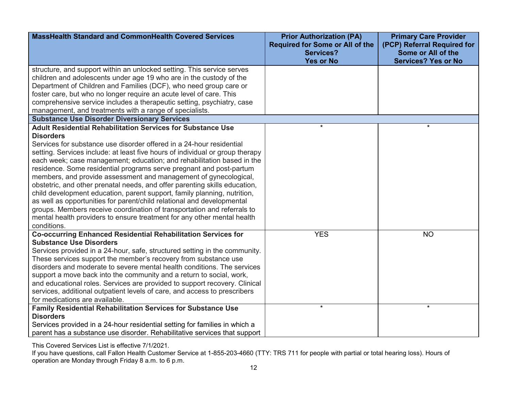| <b>MassHealth Standard and CommonHealth Covered Services</b>                                                                                                                                                       | <b>Prior Authorization (PA)</b><br><b>Required for Some or All of the</b><br><b>Services?</b> | <b>Primary Care Provider</b><br>(PCP) Referral Required for<br>Some or All of the |
|--------------------------------------------------------------------------------------------------------------------------------------------------------------------------------------------------------------------|-----------------------------------------------------------------------------------------------|-----------------------------------------------------------------------------------|
|                                                                                                                                                                                                                    | <b>Yes or No</b>                                                                              | <b>Services? Yes or No</b>                                                        |
| structure, and support within an unlocked setting. This service serves<br>children and adolescents under age 19 who are in the custody of the<br>Department of Children and Families (DCF), who need group care or |                                                                                               |                                                                                   |
| foster care, but who no longer require an acute level of care. This<br>comprehensive service includes a therapeutic setting, psychiatry, case                                                                      |                                                                                               |                                                                                   |
| management, and treatments with a range of specialists.                                                                                                                                                            |                                                                                               |                                                                                   |
| <b>Substance Use Disorder Diversionary Services</b>                                                                                                                                                                |                                                                                               |                                                                                   |
| <b>Adult Residential Rehabilitation Services for Substance Use</b>                                                                                                                                                 | $\star$                                                                                       | $\star$                                                                           |
| <b>Disorders</b>                                                                                                                                                                                                   |                                                                                               |                                                                                   |
| Services for substance use disorder offered in a 24-hour residential                                                                                                                                               |                                                                                               |                                                                                   |
| setting. Services include: at least five hours of individual or group therapy                                                                                                                                      |                                                                                               |                                                                                   |
| each week; case management; education; and rehabilitation based in the                                                                                                                                             |                                                                                               |                                                                                   |
| residence. Some residential programs serve pregnant and post-partum                                                                                                                                                |                                                                                               |                                                                                   |
| members, and provide assessment and management of gynecological,                                                                                                                                                   |                                                                                               |                                                                                   |
| obstetric, and other prenatal needs, and offer parenting skills education,                                                                                                                                         |                                                                                               |                                                                                   |
| child development education, parent support, family planning, nutrition,                                                                                                                                           |                                                                                               |                                                                                   |
| as well as opportunities for parent/child relational and developmental                                                                                                                                             |                                                                                               |                                                                                   |
| groups. Members receive coordination of transportation and referrals to                                                                                                                                            |                                                                                               |                                                                                   |
| mental health providers to ensure treatment for any other mental health                                                                                                                                            |                                                                                               |                                                                                   |
| conditions.                                                                                                                                                                                                        |                                                                                               |                                                                                   |
| <b>Co-occurring Enhanced Residential Rehabilitation Services for</b>                                                                                                                                               | <b>YES</b>                                                                                    | <b>NO</b>                                                                         |
| <b>Substance Use Disorders</b>                                                                                                                                                                                     |                                                                                               |                                                                                   |
| Services provided in a 24-hour, safe, structured setting in the community.                                                                                                                                         |                                                                                               |                                                                                   |
| These services support the member's recovery from substance use<br>disorders and moderate to severe mental health conditions. The services                                                                         |                                                                                               |                                                                                   |
| support a move back into the community and a return to social, work,                                                                                                                                               |                                                                                               |                                                                                   |
| and educational roles. Services are provided to support recovery. Clinical                                                                                                                                         |                                                                                               |                                                                                   |
| services, additional outpatient levels of care, and access to prescribers                                                                                                                                          |                                                                                               |                                                                                   |
| for medications are available.                                                                                                                                                                                     |                                                                                               |                                                                                   |
| Family Residential Rehabilitation Services for Substance Use                                                                                                                                                       | $\star$                                                                                       | $\star$                                                                           |
| <b>Disorders</b>                                                                                                                                                                                                   |                                                                                               |                                                                                   |
| Services provided in a 24-hour residential setting for families in which a                                                                                                                                         |                                                                                               |                                                                                   |
| parent has a substance use disorder. Rehabilitative services that support                                                                                                                                          |                                                                                               |                                                                                   |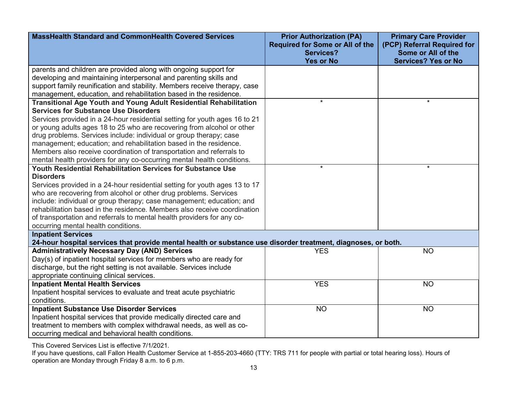| <b>MassHealth Standard and CommonHealth Covered Services</b>                                                                                                                                                                                                                                                                                                                                                                                                                                                                                                                 | <b>Prior Authorization (PA)</b><br><b>Required for Some or All of the</b><br><b>Services?</b><br><b>Yes or No</b> | <b>Primary Care Provider</b><br>(PCP) Referral Required for<br>Some or All of the<br><b>Services? Yes or No</b> |
|------------------------------------------------------------------------------------------------------------------------------------------------------------------------------------------------------------------------------------------------------------------------------------------------------------------------------------------------------------------------------------------------------------------------------------------------------------------------------------------------------------------------------------------------------------------------------|-------------------------------------------------------------------------------------------------------------------|-----------------------------------------------------------------------------------------------------------------|
| parents and children are provided along with ongoing support for<br>developing and maintaining interpersonal and parenting skills and<br>support family reunification and stability. Members receive therapy, case<br>management, education, and rehabilitation based in the residence.                                                                                                                                                                                                                                                                                      |                                                                                                                   |                                                                                                                 |
| <b>Transitional Age Youth and Young Adult Residential Rehabilitation</b><br><b>Services for Substance Use Disorders</b><br>Services provided in a 24-hour residential setting for youth ages 16 to 21<br>or young adults ages 18 to 25 who are recovering from alcohol or other<br>drug problems. Services include: individual or group therapy; case<br>management; education; and rehabilitation based in the residence.<br>Members also receive coordination of transportation and referrals to<br>mental health providers for any co-occurring mental health conditions. | $\star$                                                                                                           | $\star$                                                                                                         |
| Youth Residential Rehabilitation Services for Substance Use<br><b>Disorders</b><br>Services provided in a 24-hour residential setting for youth ages 13 to 17<br>who are recovering from alcohol or other drug problems. Services<br>include: individual or group therapy; case management; education; and<br>rehabilitation based in the residence. Members also receive coordination<br>of transportation and referrals to mental health providers for any co-<br>occurring mental health conditions.                                                                      | $\star$                                                                                                           | $\star$                                                                                                         |
| <b>Inpatient Services</b><br>24-hour hospital services that provide mental health or substance use disorder treatment, diagnoses, or both.                                                                                                                                                                                                                                                                                                                                                                                                                                   |                                                                                                                   |                                                                                                                 |
| <b>Administratively Necessary Day (AND) Services</b><br>Day(s) of inpatient hospital services for members who are ready for<br>discharge, but the right setting is not available. Services include<br>appropriate continuing clinical services.                                                                                                                                                                                                                                                                                                                              | <b>YES</b>                                                                                                        | <b>NO</b>                                                                                                       |
| <b>Inpatient Mental Health Services</b><br>Inpatient hospital services to evaluate and treat acute psychiatric<br>conditions.                                                                                                                                                                                                                                                                                                                                                                                                                                                | <b>YES</b>                                                                                                        | <b>NO</b>                                                                                                       |
| <b>Inpatient Substance Use Disorder Services</b><br>Inpatient hospital services that provide medically directed care and<br>treatment to members with complex withdrawal needs, as well as co-<br>occurring medical and behavioral health conditions.                                                                                                                                                                                                                                                                                                                        | <b>NO</b>                                                                                                         | <b>NO</b>                                                                                                       |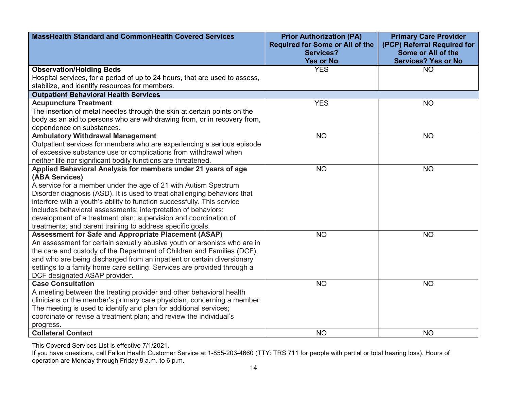| <b>MassHealth Standard and CommonHealth Covered Services</b>                                                                            | <b>Prior Authorization (PA)</b><br><b>Required for Some or All of the</b><br><b>Services?</b> | <b>Primary Care Provider</b><br>(PCP) Referral Required for<br>Some or All of the |
|-----------------------------------------------------------------------------------------------------------------------------------------|-----------------------------------------------------------------------------------------------|-----------------------------------------------------------------------------------|
|                                                                                                                                         | <b>Yes or No</b>                                                                              | <b>Services? Yes or No</b>                                                        |
| <b>Observation/Holding Beds</b>                                                                                                         | <b>YES</b>                                                                                    | <b>NO</b>                                                                         |
| Hospital services, for a period of up to 24 hours, that are used to assess,                                                             |                                                                                               |                                                                                   |
| stabilize, and identify resources for members.                                                                                          |                                                                                               |                                                                                   |
| <b>Outpatient Behavioral Health Services</b>                                                                                            |                                                                                               |                                                                                   |
| <b>Acupuncture Treatment</b>                                                                                                            | <b>YES</b>                                                                                    | <b>NO</b>                                                                         |
| The insertion of metal needles through the skin at certain points on the                                                                |                                                                                               |                                                                                   |
| body as an aid to persons who are withdrawing from, or in recovery from,                                                                |                                                                                               |                                                                                   |
| dependence on substances.                                                                                                               |                                                                                               |                                                                                   |
| <b>Ambulatory Withdrawal Management</b>                                                                                                 | <b>NO</b>                                                                                     | <b>NO</b>                                                                         |
| Outpatient services for members who are experiencing a serious episode                                                                  |                                                                                               |                                                                                   |
| of excessive substance use or complications from withdrawal when                                                                        |                                                                                               |                                                                                   |
| neither life nor significant bodily functions are threatened.                                                                           |                                                                                               |                                                                                   |
| Applied Behavioral Analysis for members under 21 years of age                                                                           | <b>NO</b>                                                                                     | <b>NO</b>                                                                         |
| (ABA Services)                                                                                                                          |                                                                                               |                                                                                   |
| A service for a member under the age of 21 with Autism Spectrum                                                                         |                                                                                               |                                                                                   |
| Disorder diagnosis (ASD). It is used to treat challenging behaviors that                                                                |                                                                                               |                                                                                   |
| interfere with a youth's ability to function successfully. This service                                                                 |                                                                                               |                                                                                   |
| includes behavioral assessments; interpretation of behaviors;                                                                           |                                                                                               |                                                                                   |
| development of a treatment plan; supervision and coordination of                                                                        |                                                                                               |                                                                                   |
| treatments; and parent training to address specific goals.                                                                              |                                                                                               |                                                                                   |
| Assessment for Safe and Appropriate Placement (ASAP)                                                                                    | <b>NO</b>                                                                                     | <b>NO</b>                                                                         |
| An assessment for certain sexually abusive youth or arsonists who are in                                                                |                                                                                               |                                                                                   |
| the care and custody of the Department of Children and Families (DCF),                                                                  |                                                                                               |                                                                                   |
| and who are being discharged from an inpatient or certain diversionary                                                                  |                                                                                               |                                                                                   |
| settings to a family home care setting. Services are provided through a                                                                 |                                                                                               |                                                                                   |
| DCF designated ASAP provider.                                                                                                           |                                                                                               |                                                                                   |
| <b>Case Consultation</b>                                                                                                                | <b>NO</b>                                                                                     | <b>NO</b>                                                                         |
| A meeting between the treating provider and other behavioral health                                                                     |                                                                                               |                                                                                   |
| clinicians or the member's primary care physician, concerning a member.                                                                 |                                                                                               |                                                                                   |
| The meeting is used to identify and plan for additional services;<br>coordinate or revise a treatment plan; and review the individual's |                                                                                               |                                                                                   |
|                                                                                                                                         |                                                                                               |                                                                                   |
| progress.<br><b>Collateral Contact</b>                                                                                                  | <b>NO</b>                                                                                     | <b>NO</b>                                                                         |
|                                                                                                                                         |                                                                                               |                                                                                   |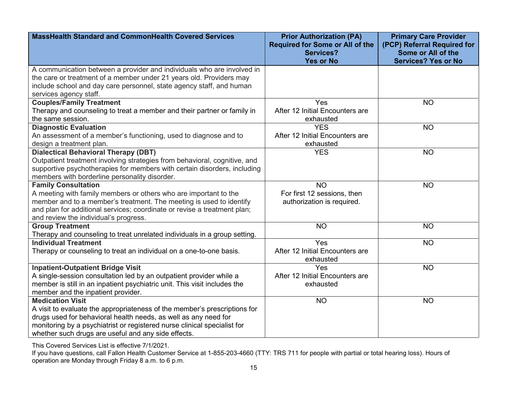| <b>MassHealth Standard and CommonHealth Covered Services</b>                                                                                                                                                                                                                                               | <b>Prior Authorization (PA)</b><br><b>Required for Some or All of the</b><br><b>Services?</b><br><b>Yes or No</b> | <b>Primary Care Provider</b><br>(PCP) Referral Required for<br>Some or All of the<br><b>Services? Yes or No</b> |
|------------------------------------------------------------------------------------------------------------------------------------------------------------------------------------------------------------------------------------------------------------------------------------------------------------|-------------------------------------------------------------------------------------------------------------------|-----------------------------------------------------------------------------------------------------------------|
| A communication between a provider and individuals who are involved in<br>the care or treatment of a member under 21 years old. Providers may<br>include school and day care personnel, state agency staff, and human<br>services agency staff.                                                            |                                                                                                                   |                                                                                                                 |
| <b>Couples/Family Treatment</b><br>Therapy and counseling to treat a member and their partner or family in<br>the same session.                                                                                                                                                                            | Yes<br>After 12 Initial Encounters are<br>exhausted                                                               | <b>NO</b>                                                                                                       |
| <b>Diagnostic Evaluation</b><br>An assessment of a member's functioning, used to diagnose and to<br>design a treatment plan.                                                                                                                                                                               | <b>YES</b><br>After 12 Initial Encounters are<br>exhausted                                                        | <b>NO</b>                                                                                                       |
| <b>Dialectical Behavioral Therapy (DBT)</b><br>Outpatient treatment involving strategies from behavioral, cognitive, and<br>supportive psychotherapies for members with certain disorders, including<br>members with borderline personality disorder.                                                      | <b>YES</b>                                                                                                        | <b>NO</b>                                                                                                       |
| <b>Family Consultation</b><br>A meeting with family members or others who are important to the<br>member and to a member's treatment. The meeting is used to identify<br>and plan for additional services; coordinate or revise a treatment plan;<br>and review the individual's progress.                 | <b>NO</b><br>For first 12 sessions, then<br>authorization is required.                                            | <b>NO</b>                                                                                                       |
| <b>Group Treatment</b><br>Therapy and counseling to treat unrelated individuals in a group setting.                                                                                                                                                                                                        | <b>NO</b>                                                                                                         | <b>NO</b>                                                                                                       |
| <b>Individual Treatment</b><br>Therapy or counseling to treat an individual on a one-to-one basis.                                                                                                                                                                                                         | Yes<br>After 12 Initial Encounters are<br>exhausted                                                               | <b>NO</b>                                                                                                       |
| <b>Inpatient-Outpatient Bridge Visit</b><br>A single-session consultation led by an outpatient provider while a<br>member is still in an inpatient psychiatric unit. This visit includes the<br>member and the inpatient provider.                                                                         | Yes<br>After 12 Initial Encounters are<br>exhausted                                                               | <b>NO</b>                                                                                                       |
| <b>Medication Visit</b><br>A visit to evaluate the appropriateness of the member's prescriptions for<br>drugs used for behavioral health needs, as well as any need for<br>monitoring by a psychiatrist or registered nurse clinical specialist for<br>whether such drugs are useful and any side effects. | N <sub>O</sub>                                                                                                    | <b>NO</b>                                                                                                       |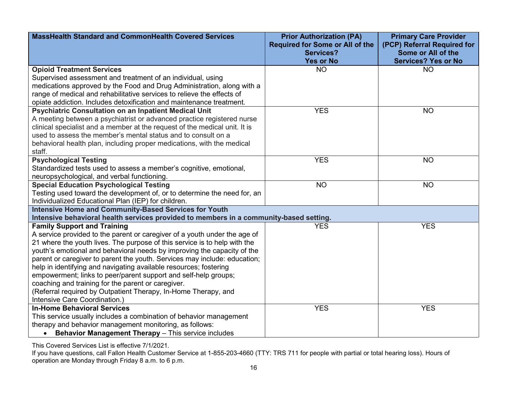| <b>MassHealth Standard and CommonHealth Covered Services</b>                           | <b>Prior Authorization (PA)</b>        | <b>Primary Care Provider</b> |
|----------------------------------------------------------------------------------------|----------------------------------------|------------------------------|
|                                                                                        | <b>Required for Some or All of the</b> | (PCP) Referral Required for  |
|                                                                                        | <b>Services?</b>                       | Some or All of the           |
|                                                                                        | <b>Yes or No</b>                       | <b>Services? Yes or No</b>   |
| <b>Opioid Treatment Services</b>                                                       | <b>NO</b>                              | <b>NO</b>                    |
| Supervised assessment and treatment of an individual, using                            |                                        |                              |
| medications approved by the Food and Drug Administration, along with a                 |                                        |                              |
| range of medical and rehabilitative services to relieve the effects of                 |                                        |                              |
| opiate addiction. Includes detoxification and maintenance treatment.                   |                                        |                              |
| <b>Psychiatric Consultation on an Inpatient Medical Unit</b>                           | <b>YES</b>                             | <b>NO</b>                    |
| A meeting between a psychiatrist or advanced practice registered nurse                 |                                        |                              |
| clinical specialist and a member at the request of the medical unit. It is             |                                        |                              |
| used to assess the member's mental status and to consult on a                          |                                        |                              |
| behavioral health plan, including proper medications, with the medical                 |                                        |                              |
| staff.                                                                                 |                                        |                              |
| <b>Psychological Testing</b>                                                           | <b>YES</b>                             | <b>NO</b>                    |
| Standardized tests used to assess a member's cognitive, emotional,                     |                                        |                              |
| neuropsychological, and verbal functioning.                                            |                                        |                              |
| <b>Special Education Psychological Testing</b>                                         | <b>NO</b>                              | <b>NO</b>                    |
| Testing used toward the development of, or to determine the need for, an               |                                        |                              |
| Individualized Educational Plan (IEP) for children.                                    |                                        |                              |
| <b>Intensive Home and Community-Based Services for Youth</b>                           |                                        |                              |
| Intensive behavioral health services provided to members in a community-based setting. |                                        |                              |
| <b>Family Support and Training</b>                                                     | <b>YES</b>                             | <b>YES</b>                   |
| A service provided to the parent or caregiver of a youth under the age of              |                                        |                              |
| 21 where the youth lives. The purpose of this service is to help with the              |                                        |                              |
| youth's emotional and behavioral needs by improving the capacity of the                |                                        |                              |
| parent or caregiver to parent the youth. Services may include: education;              |                                        |                              |
| help in identifying and navigating available resources; fostering                      |                                        |                              |
| empowerment; links to peer/parent support and self-help groups;                        |                                        |                              |
| coaching and training for the parent or caregiver.                                     |                                        |                              |
| (Referral required by Outpatient Therapy, In-Home Therapy, and                         |                                        |                              |
| Intensive Care Coordination.)                                                          |                                        |                              |
| <b>In-Home Behavioral Services</b>                                                     | <b>YES</b>                             | <b>YES</b>                   |
| This service usually includes a combination of behavior management                     |                                        |                              |
| therapy and behavior management monitoring, as follows:                                |                                        |                              |
| • Behavior Management Therapy - This service includes                                  |                                        |                              |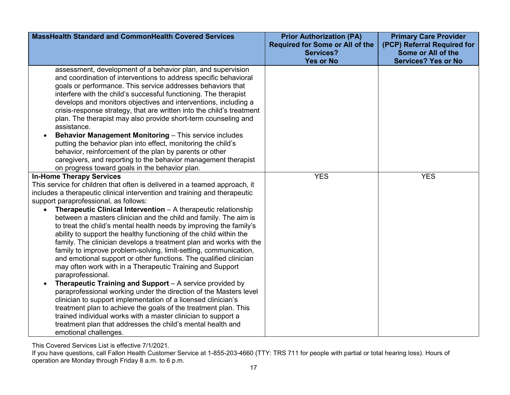| <b>MassHealth Standard and CommonHealth Covered Services</b>                                                                                                                                                                                                                                                                                                                                                                                                                                                                                                                                                                                                                                                                                                                                                                                                                                                                                                                                                                                                                                                                                                                                                      | <b>Prior Authorization (PA)</b><br><b>Required for Some or All of the</b><br><b>Services?</b><br><b>Yes or No</b> | <b>Primary Care Provider</b><br>(PCP) Referral Required for<br>Some or All of the<br><b>Services? Yes or No</b> |
|-------------------------------------------------------------------------------------------------------------------------------------------------------------------------------------------------------------------------------------------------------------------------------------------------------------------------------------------------------------------------------------------------------------------------------------------------------------------------------------------------------------------------------------------------------------------------------------------------------------------------------------------------------------------------------------------------------------------------------------------------------------------------------------------------------------------------------------------------------------------------------------------------------------------------------------------------------------------------------------------------------------------------------------------------------------------------------------------------------------------------------------------------------------------------------------------------------------------|-------------------------------------------------------------------------------------------------------------------|-----------------------------------------------------------------------------------------------------------------|
| assessment, development of a behavior plan, and supervision<br>and coordination of interventions to address specific behavioral<br>goals or performance. This service addresses behaviors that<br>interfere with the child's successful functioning. The therapist<br>develops and monitors objectives and interventions, including a<br>crisis-response strategy, that are written into the child's treatment<br>plan. The therapist may also provide short-term counseling and<br>assistance.<br><b>Behavior Management Monitoring - This service includes</b><br>putting the behavior plan into effect, monitoring the child's<br>behavior, reinforcement of the plan by parents or other<br>caregivers, and reporting to the behavior management therapist                                                                                                                                                                                                                                                                                                                                                                                                                                                    |                                                                                                                   |                                                                                                                 |
| on progress toward goals in the behavior plan.<br><b>In-Home Therapy Services</b>                                                                                                                                                                                                                                                                                                                                                                                                                                                                                                                                                                                                                                                                                                                                                                                                                                                                                                                                                                                                                                                                                                                                 | <b>YES</b>                                                                                                        | <b>YES</b>                                                                                                      |
| This service for children that often is delivered in a teamed approach, it<br>includes a therapeutic clinical intervention and training and therapeutic<br>support paraprofessional, as follows:<br>Therapeutic Clinical Intervention - A therapeutic relationship<br>between a masters clinician and the child and family. The aim is<br>to treat the child's mental health needs by improving the family's<br>ability to support the healthy functioning of the child within the<br>family. The clinician develops a treatment plan and works with the<br>family to improve problem-solving, limit-setting, communication,<br>and emotional support or other functions. The qualified clinician<br>may often work with in a Therapeutic Training and Support<br>paraprofessional.<br>Therapeutic Training and Support - A service provided by<br>paraprofessional working under the direction of the Masters level<br>clinician to support implementation of a licensed clinician's<br>treatment plan to achieve the goals of the treatment plan. This<br>trained individual works with a master clinician to support a<br>treatment plan that addresses the child's mental health and<br>emotional challenges. |                                                                                                                   |                                                                                                                 |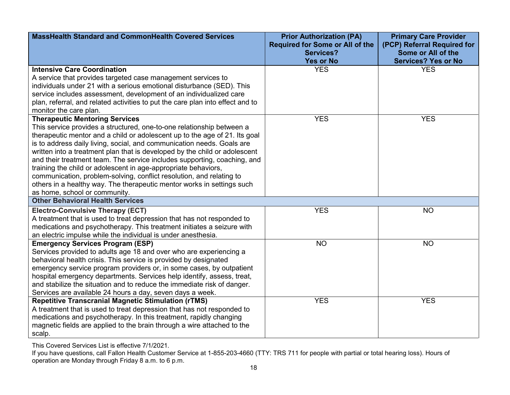| <b>MassHealth Standard and CommonHealth Covered Services</b>                                                                                                                                                                                                                                                                                                                                                                                                                                                                                                                                                                                                                          | <b>Prior Authorization (PA)</b><br><b>Required for Some or All of the</b><br><b>Services?</b> | <b>Primary Care Provider</b><br>(PCP) Referral Required for<br>Some or All of the |
|---------------------------------------------------------------------------------------------------------------------------------------------------------------------------------------------------------------------------------------------------------------------------------------------------------------------------------------------------------------------------------------------------------------------------------------------------------------------------------------------------------------------------------------------------------------------------------------------------------------------------------------------------------------------------------------|-----------------------------------------------------------------------------------------------|-----------------------------------------------------------------------------------|
|                                                                                                                                                                                                                                                                                                                                                                                                                                                                                                                                                                                                                                                                                       | <b>Yes or No</b>                                                                              | <b>Services? Yes or No</b>                                                        |
| <b>Intensive Care Coordination</b><br>A service that provides targeted case management services to<br>individuals under 21 with a serious emotional disturbance (SED). This<br>service includes assessment, development of an individualized care<br>plan, referral, and related activities to put the care plan into effect and to<br>monitor the care plan.                                                                                                                                                                                                                                                                                                                         | <b>YES</b>                                                                                    | <b>YES</b>                                                                        |
| <b>Therapeutic Mentoring Services</b><br>This service provides a structured, one-to-one relationship between a<br>therapeutic mentor and a child or adolescent up to the age of 21. Its goal<br>is to address daily living, social, and communication needs. Goals are<br>written into a treatment plan that is developed by the child or adolescent<br>and their treatment team. The service includes supporting, coaching, and<br>training the child or adolescent in age-appropriate behaviors,<br>communication, problem-solving, conflict resolution, and relating to<br>others in a healthy way. The therapeutic mentor works in settings such<br>as home, school or community. | <b>YES</b>                                                                                    | <b>YES</b>                                                                        |
| <b>Other Behavioral Health Services</b>                                                                                                                                                                                                                                                                                                                                                                                                                                                                                                                                                                                                                                               |                                                                                               |                                                                                   |
| <b>Electro-Convulsive Therapy (ECT)</b><br>A treatment that is used to treat depression that has not responded to<br>medications and psychotherapy. This treatment initiates a seizure with<br>an electric impulse while the individual is under anesthesia.                                                                                                                                                                                                                                                                                                                                                                                                                          | <b>YES</b>                                                                                    | <b>NO</b>                                                                         |
| <b>Emergency Services Program (ESP)</b><br>Services provided to adults age 18 and over who are experiencing a<br>behavioral health crisis. This service is provided by designated<br>emergency service program providers or, in some cases, by outpatient<br>hospital emergency departments. Services help identify, assess, treat,<br>and stabilize the situation and to reduce the immediate risk of danger.<br>Services are available 24 hours a day, seven days a week.                                                                                                                                                                                                           | <b>NO</b>                                                                                     | <b>NO</b>                                                                         |
| <b>Repetitive Transcranial Magnetic Stimulation (rTMS)</b><br>A treatment that is used to treat depression that has not responded to<br>medications and psychotherapy. In this treatment, rapidly changing<br>magnetic fields are applied to the brain through a wire attached to the<br>scalp.                                                                                                                                                                                                                                                                                                                                                                                       | <b>YES</b>                                                                                    | <b>YES</b>                                                                        |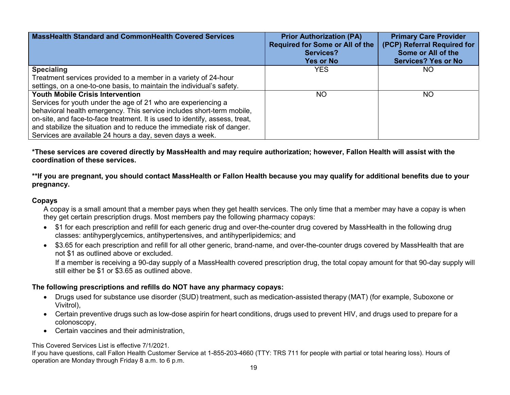| <b>MassHealth Standard and CommonHealth Covered Services</b>                | <b>Prior Authorization (PA)</b><br><b>Required for Some or All of the</b><br><b>Services?</b><br><b>Yes or No</b> | <b>Primary Care Provider</b><br>(PCP) Referral Required for<br>Some or All of the<br><b>Services? Yes or No</b> |
|-----------------------------------------------------------------------------|-------------------------------------------------------------------------------------------------------------------|-----------------------------------------------------------------------------------------------------------------|
| <b>Specialing</b>                                                           | <b>YES</b>                                                                                                        | NO.                                                                                                             |
| Treatment services provided to a member in a variety of 24-hour             |                                                                                                                   |                                                                                                                 |
| settings, on a one-to-one basis, to maintain the individual's safety.       |                                                                                                                   |                                                                                                                 |
| <b>Youth Mobile Crisis Intervention</b>                                     | NO.                                                                                                               | NO                                                                                                              |
| Services for youth under the age of 21 who are experiencing a               |                                                                                                                   |                                                                                                                 |
| behavioral health emergency. This service includes short-term mobile,       |                                                                                                                   |                                                                                                                 |
| on-site, and face-to-face treatment. It is used to identify, assess, treat, |                                                                                                                   |                                                                                                                 |
| and stabilize the situation and to reduce the immediate risk of danger.     |                                                                                                                   |                                                                                                                 |
| Services are available 24 hours a day, seven days a week.                   |                                                                                                                   |                                                                                                                 |

**\*These services are covered directly by MassHealth and may require authorization; however, Fallon Health will assist with the coordination of these services.** 

**\*\*If you are pregnant, you should contact MassHealth or Fallon Health because you may qualify for additional benefits due to your pregnancy.**

#### **Copays**

A copay is a small amount that a member pays when they get health services. The only time that a member may have a copay is when they get certain prescription drugs. Most members pay the following pharmacy copays:

- \$1 for each prescription and refill for each generic drug and over-the-counter drug covered by MassHealth in the following drug classes: antihyperglycemics, antihypertensives, and antihyperlipidemics; and
- \$3.65 for each prescription and refill for all other generic, brand-name, and over-the-counter drugs covered by MassHealth that are not \$1 as outlined above or excluded.

If a member is receiving a 90-day supply of a MassHealth covered prescription drug, the total copay amount for that 90-day supply will still either be \$1 or \$3.65 as outlined above.

#### **The following prescriptions and refills do NOT have any pharmacy copays:**

- Drugs used for substance use disorder (SUD) treatment, such as medication-assisted therapy (MAT) (for example, Suboxone or Vivitrol),
- Certain preventive drugs such as low-dose aspirin for heart conditions, drugs used to prevent HIV, and drugs used to prepare for a colonoscopy,
- Certain vaccines and their administration,

This Covered Services List is effective 7/1/2021.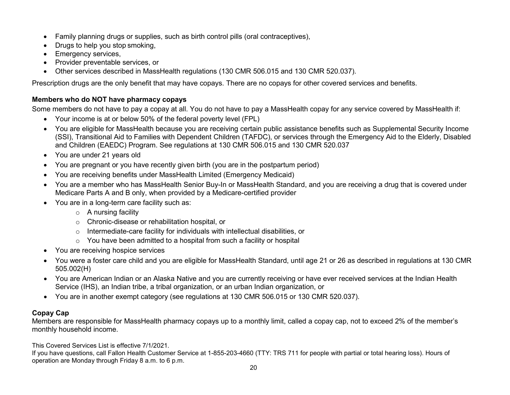- Family planning drugs or supplies, such as birth control pills (oral contraceptives),
- Drugs to help you stop smoking,
- Emergency services,
- Provider preventable services, or
- Other services described in MassHealth regulations (130 CMR 506.015 and 130 CMR 520.037).

Prescription drugs are the only benefit that may have copays. There are no copays for other covered services and benefits.

### **Members who do NOT have pharmacy copays**

Some members do not have to pay a copay at all. You do not have to pay a MassHealth copay for any service covered by MassHealth if:

- Your income is at or below 50% of the federal poverty level (FPL)
- You are eligible for MassHealth because you are receiving certain public assistance benefits such as Supplemental Security Income (SSI), Transitional Aid to Families with Dependent Children (TAFDC), or services through the Emergency Aid to the Elderly, Disabled and Children (EAEDC) Program. See regulations at 130 CMR 506.015 and 130 CMR 520.037
- You are under 21 years old
- You are pregnant or you have recently given birth (you are in the postpartum period)
- You are receiving benefits under MassHealth Limited (Emergency Medicaid)
- You are a member who has MassHealth Senior Buy-In or MassHealth Standard, and you are receiving a drug that is covered under Medicare Parts A and B only, when provided by a Medicare-certified provider
- You are in a long-term care facility such as:
	- $\circ$  A nursing facility
	- o Chronic-disease or rehabilitation hospital, or
	- o Intermediate-care facility for individuals with intellectual disabilities, or
	- o You have been admitted to a hospital from such a facility or hospital
- You are receiving hospice services
- You were a foster care child and you are eligible for MassHealth Standard, until age 21 or 26 as described in regulations at 130 CMR 505.002(H)
- You are American Indian or an Alaska Native and you are currently receiving or have ever received services at the Indian Health Service (IHS), an Indian tribe, a tribal organization, or an urban Indian organization, or
- You are in another exempt category (see regulations at 130 CMR 506.015 or 130 CMR 520.037).

## **Copay Cap**

Members are responsible for MassHealth pharmacy copays up to a monthly limit, called a copay cap, not to exceed 2% of the member's monthly household income.

This Covered Services List is effective 7/1/2021.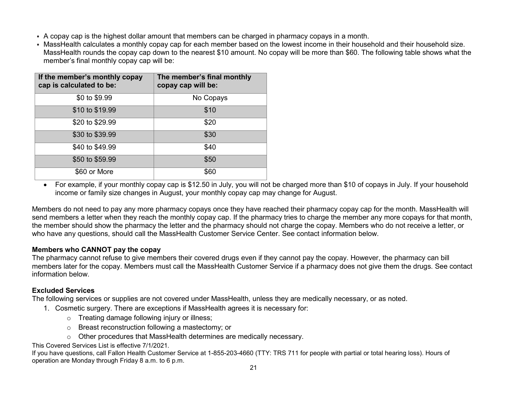- A copay cap is the highest dollar amount that members can be charged in pharmacy copays in a month.
- MassHealth calculates a monthly copay cap for each member based on the lowest income in their household and their household size. MassHealth rounds the copay cap down to the nearest \$10 amount. No copay will be more than \$60. The following table shows what the member's final monthly copay cap will be:

| If the member's monthly copay<br>cap is calculated to be: | The member's final monthly<br>copay cap will be: |
|-----------------------------------------------------------|--------------------------------------------------|
| \$0 to \$9.99                                             | No Copays                                        |
| \$10 to \$19.99                                           | \$10                                             |
| \$20 to \$29.99                                           | \$20                                             |
| \$30 to \$39.99                                           | \$30                                             |
| \$40 to \$49.99                                           | \$40                                             |
| \$50 to \$59.99                                           | \$50                                             |
| \$60 or More                                              | \$60                                             |

• For example, if your monthly copay cap is \$12.50 in July, you will not be charged more than \$10 of copays in July. If your household income or family size changes in August, your monthly copay cap may change for August.

Members do not need to pay any more pharmacy copays once they have reached their pharmacy copay cap for the month. MassHealth will send members a letter when they reach the monthly copay cap. If the pharmacy tries to charge the member any more copays for that month, the member should show the pharmacy the letter and the pharmacy should not charge the copay. Members who do not receive a letter, or who have any questions, should call the MassHealth Customer Service Center. See contact information below.

#### **Members who CANNOT pay the copay**

The pharmacy cannot refuse to give members their covered drugs even if they cannot pay the copay. However, the pharmacy can bill members later for the copay. Members must call the MassHealth Customer Service if a pharmacy does not give them the drugs. See contact information below.

### **Excluded Services**

The following services or supplies are not covered under MassHealth, unless they are medically necessary, or as noted.

- 1. Cosmetic surgery. There are exceptions if MassHealth agrees it is necessary for:
	- o Treating damage following injury or illness;
	- o Breast reconstruction following a mastectomy; or
	- o Other procedures that MassHealth determines are medically necessary.

This Covered Services List is effective 7/1/2021.